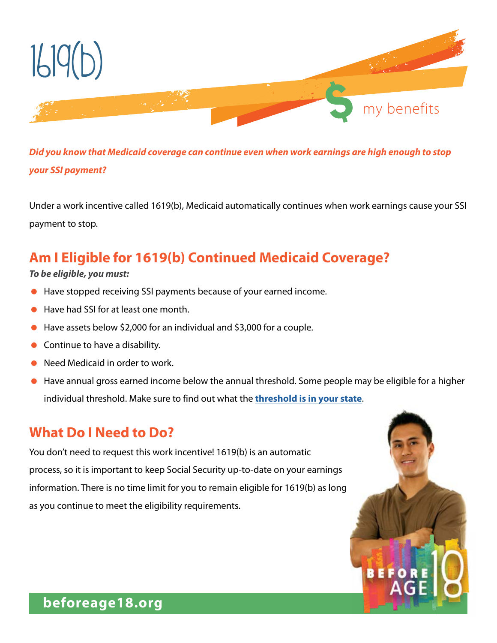

#### *Did you know that Medicaid coverage can continue even when work earnings are high enough to stop your SSI payment?*

Under a work incentive called 1619(b), Medicaid automatically continues when work earnings cause your SSI payment to stop.

# **Am I Eligible for 1619(b) Continued Medicaid Coverage?**

#### *To be eligible, you must:*

- Have stopped receiving SSI payments because of your earned income.
- Have had SSI for at least one month.
- Have assets below \$2,000 for an individual and \$3,000 for a couple.
- Continue to have a disability.
- Need Medicaid in order to work.
- Have annual gross earned income below the annual threshold. Some people may be eligible for a higher individual threshold. Make sure to find out what the **[threshold is in your state](https://www.ssa.gov/disabilityresearch/wi/1619b.htm)**.

### **What Do I Need to Do?**

You don't need to request this work incentive! 1619(b) is an automatic process, so it is important to keep Social Security up-to-date on your earnings information. There is no time limit for you to remain eligible for 1619(b) as long as you continue to meet the eligibility requirements.